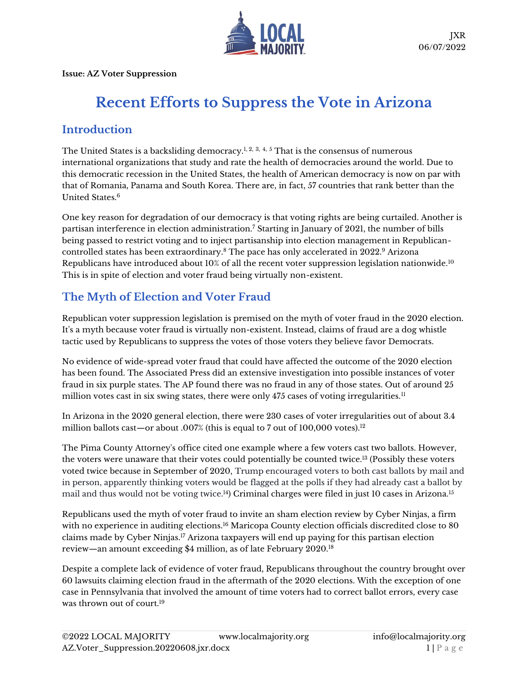

**Issue: AZ Voter Suppression**

# **Recent Efforts to Suppress the Vote in Arizona**

# **Introduction**

The United States is a backsliding democracy.<sup>1, 2, 3, 4, 5</sup> That is the consensus of numerous international organizations that study and rate the health of democracies around the world. Due to this democratic recession in the United States, the health of American democracy is now on par with that of Romania, Panama and South Korea. There are, in fact, 57 countries that rank better than the United States.<sup>6</sup>

One key reason for degradation of our democracy is that voting rights are being curtailed. Another is partisan interference in election administration.<sup>7</sup> Starting in January of 2021, the number of bills being passed to restrict voting and to inject partisanship into election management in Republicancontrolled states has been extraordinary.<sup>8</sup> The pace has only accelerated in 2022.<sup>9</sup> Arizona Republicans have introduced about 10% of all the recent voter suppression legislation nationwide.<sup>10</sup> This is in spite of election and voter fraud being virtually non-existent.

# **The Myth of Election and Voter Fraud**

Republican voter suppression legislation is premised on the myth of voter fraud in the 2020 election. It's a myth because voter fraud is virtually non-existent. Instead, claims of fraud are a dog whistle tactic used by Republicans to suppress the votes of those voters they believe favor Democrats.

No evidence of wide-spread voter fraud that could have affected the outcome of the 2020 election has been found. The Associated Press did an extensive investigation into possible instances of voter fraud in six purple states. The AP found there was no fraud in any of those states. Out of around 25 million votes cast in six swing states, there were only 475 cases of voting irregularities.<sup>11</sup>

In Arizona in the 2020 general election, there were 230 cases of voter irregularities out of about 3.4 million ballots cast—or about .007% (this is equal to 7 out of 100,000 votes).<sup>12</sup>

The Pima County Attorney's office cited one example where a few voters cast two ballots. However, the voters were unaware that their votes could potentially be counted twice.<sup>13</sup> (Possibly these voters voted twice because in September of 2020, Trump encouraged voters to both cast ballots by mail and in person, apparently thinking voters would be flagged at the polls if they had already cast a ballot by mail and thus would not be voting twice.<sup>14</sup>) Criminal charges were filed in just 10 cases in Arizona.<sup>15</sup>

Republicans used the myth of voter fraud to invite an sham election review by Cyber Ninjas, a firm with no experience in auditing elections.<sup>16</sup> Maricopa County election officials discredited close to 80 claims made by Cyber Ninjas.<sup>17</sup> Arizona taxpayers will end up paying for this partisan election review—an amount exceeding \$4 million, as of late February 2020.<sup>18</sup>

Despite a complete lack of evidence of voter fraud, Republicans throughout the country brought over 60 lawsuits claiming election fraud in the aftermath of the 2020 elections. With the exception of one case in Pennsylvania that involved the amount of time voters had to correct ballot errors, every case was thrown out of court.<sup>19</sup>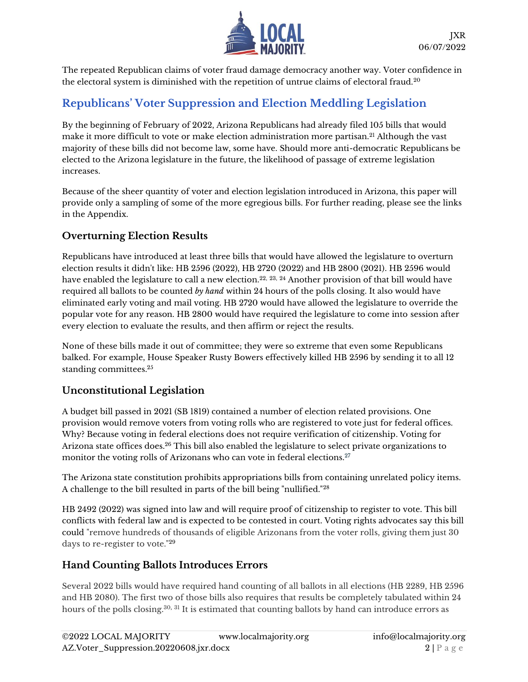

The repeated Republican claims of voter fraud damage democracy another way. Voter confidence in the electoral system is diminished with the repetition of untrue claims of electoral fraud.<sup>20</sup>

# **Republicans' Voter Suppression and Election Meddling Legislation**

By the beginning of February of 2022, Arizona Republicans had already filed 105 bills that would make it more difficult to vote or make election administration more partisan.<sup>21</sup> Although the vast majority of these bills did not become law, some have. Should more anti-democratic Republicans be elected to the Arizona legislature in the future, the likelihood of passage of extreme legislation increases.

Because of the sheer quantity of voter and election legislation introduced in Arizona, this paper will provide only a sampling of some of the more egregious bills. For further reading, please see the links in the Appendix.

## **Overturning Election Results**

Republicans have introduced at least three bills that would have allowed the legislature to overturn election results it didn't like: HB 2596 (2022), HB 2720 (2022) and HB 2800 (2021). HB 2596 would have enabled the legislature to call a new election.<sup>22, 23, 24</sup> Another provision of that bill would have required all ballots to be counted *by hand* within 24 hours of the polls closing. It also would have eliminated early voting and mail voting. HB 2720 would have allowed the legislature to override the popular vote for any reason. HB 2800 would have required the legislature to come into session after every election to evaluate the results, and then affirm or reject the results.

None of these bills made it out of committee; they were so extreme that even some Republicans balked. For example, House Speaker Rusty Bowers effectively killed HB 2596 by sending it to all 12 standing committees.<sup>25</sup>

## **Unconstitutional Legislation**

A budget bill passed in 2021 (SB 1819) contained a number of election related provisions. One provision would remove voters from voting rolls who are registered to vote just for federal offices. Why? Because voting in federal elections does not require verification of citizenship. Voting for Arizona state offices does.<sup>26</sup> This bill also enabled the legislature to select private organizations to monitor the voting rolls of Arizonans who can vote in federal elections.<sup>27</sup>

The Arizona state constitution prohibits appropriations bills from containing unrelated policy items. A challenge to the bill resulted in parts of the bill being "nullified."<sup>28</sup>

HB 2492 (2022) was signed into law and will require proof of citizenship to register to vote. This bill conflicts with federal law and is expected to be contested in court. Voting rights advocates say this bill could "remove hundreds of thousands of eligible Arizonans from the voter rolls, giving them just 30 days to re-register to vote."<sup>29</sup>

#### **Hand Counting Ballots Introduces Errors**

Several 2022 bills would have required hand counting of all ballots in all elections (HB 2289, HB 2596 and HB 2080). The first two of those bills also requires that results be completely tabulated within 24 hours of the polls closing.<sup>30, 31</sup> It is estimated that counting ballots by hand can introduce errors as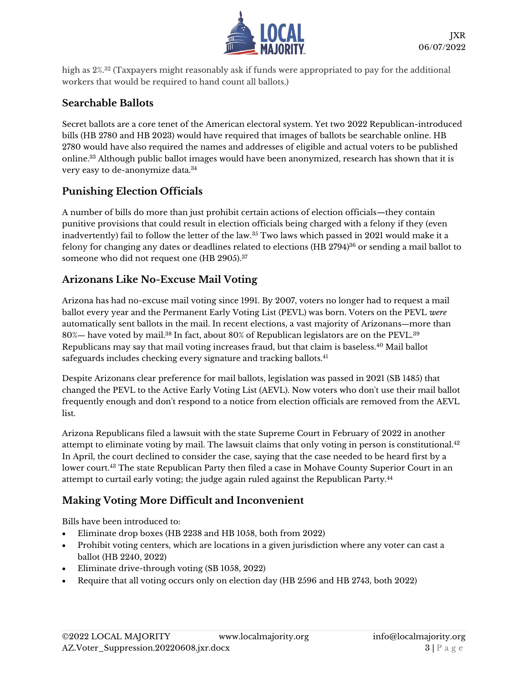

high as 2%.<sup>32</sup> (Taxpayers might reasonably ask if funds were appropriated to pay for the additional workers that would be required to hand count all ballots.)

#### **Searchable Ballots**

Secret ballots are a core tenet of the American electoral system. Yet two 2022 Republican-introduced bills (HB 2780 and HB 2023) would have required that images of ballots be searchable online. HB 2780 would have also required the names and addresses of eligible and actual voters to be published online.<sup>33</sup> Although public ballot images would have been anonymized, research has shown that it is very easy to de-anonymize data.<sup>34</sup>

#### **Punishing Election Officials**

A number of bills do more than just prohibit certain actions of election officials—they contain punitive provisions that could result in election officials being charged with a felony if they (even inadvertently) fail to follow the letter of the law.<sup>35</sup> Two laws which passed in 2021 would make it a felony for changing any dates or deadlines related to elections (HB 2794)<sup>36</sup> or sending a mail ballot to someone who did not request one (HB 2905).<sup>37</sup>

#### **Arizonans Like No-Excuse Mail Voting**

Arizona has had no-excuse mail voting since 1991. By 2007, voters no longer had to request a mail ballot every year and the Permanent Early Voting List (PEVL) was born. Voters on the PEVL *were* automatically sent ballots in the mail. In recent elections, a vast majority of Arizonans―more than 80%— have voted by mail.<sup>38</sup> In fact, about 80% of Republican legislators are on the PEVL.<sup>39</sup> Republicans may say that mail voting increases fraud, but that claim is baseless.<sup>40</sup> Mail ballot safeguards includes checking every signature and tracking ballots.<sup>41</sup>

Despite Arizonans clear preference for mail ballots, legislation was passed in 2021 (SB 1485) that changed the PEVL to the Active Early Voting List (AEVL). Now voters who don't use their mail ballot frequently enough and don't respond to a notice from election officials are removed from the AEVL list.

Arizona Republicans filed a lawsuit with the state Supreme Court in February of 2022 in another attempt to eliminate voting by mail. The lawsuit claims that only voting in person is constitutional.<sup>42</sup> In April, the court declined to consider the case, saying that the case needed to be heard first by a lower court. <sup>43</sup> The state Republican Party then filed a case in Mohave County Superior Court in an attempt to curtail early voting; the judge again ruled against the Republican Party.<sup>44</sup>

## **Making Voting More Difficult and Inconvenient**

Bills have been introduced to:

- Eliminate drop boxes (HB 2238 and HB 1058, both from 2022)
- Prohibit voting centers, which are locations in a given jurisdiction where any voter can cast a ballot (HB 2240, 2022)
- Eliminate drive-through voting (SB 1058, 2022)
- Require that all voting occurs only on election day (HB 2596 and HB 2743, both 2022)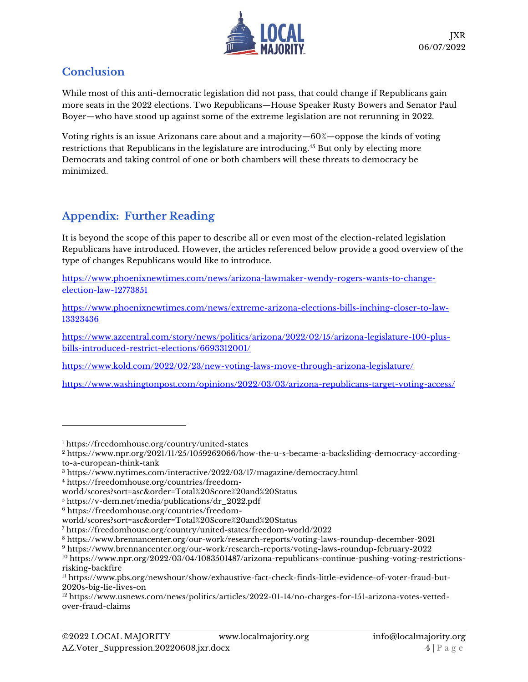

# **Conclusion**

While most of this anti-democratic legislation did not pass, that could change if Republicans gain more seats in the 2022 elections. Two Republicans—House Speaker Rusty Bowers and Senator Paul Boyer—who have stood up against some of the extreme legislation are not rerunning in 2022.

Voting rights is an issue Arizonans care about and a majority—60%—oppose the kinds of voting restrictions that Republicans in the legislature are introducing.<sup>45</sup> But only by electing more Democrats and taking control of one or both chambers will these threats to democracy be minimized.

# **Appendix: Further Reading**

It is beyond the scope of this paper to describe all or even most of the election-related legislation Republicans have introduced. However, the articles referenced below provide a good overview of the type of changes Republicans would like to introduce.

[https://www.phoenixnewtimes.com/news/arizona-lawmaker-wendy-rogers-wants-to-change](https://www.phoenixnewtimes.com/news/arizona-lawmaker-wendy-rogers-wants-to-change-election-law-12773851)[election-law-12773851](https://www.phoenixnewtimes.com/news/arizona-lawmaker-wendy-rogers-wants-to-change-election-law-12773851)

[https://www.phoenixnewtimes.com/news/extreme-arizona-elections-bills-inching-closer-to-law-](https://www.phoenixnewtimes.com/news/extreme-arizona-elections-bills-inching-closer-to-law-13323436)[13323436](https://www.phoenixnewtimes.com/news/extreme-arizona-elections-bills-inching-closer-to-law-13323436)

[https://www.azcentral.com/story/news/politics/arizona/2022/02/15/arizona-legislature-100-plus](https://www.azcentral.com/story/news/politics/arizona/2022/02/15/arizona-legislature-100-plus-bills-introduced-restrict-elections/6693312001/)[bills-introduced-restrict-elections/6693312001/](https://www.azcentral.com/story/news/politics/arizona/2022/02/15/arizona-legislature-100-plus-bills-introduced-restrict-elections/6693312001/)

<https://www.kold.com/2022/02/23/new-voting-laws-move-through-arizona-legislature/>

<https://www.washingtonpost.com/opinions/2022/03/03/arizona-republicans-target-voting-access/>

<sup>1</sup> <https://freedomhouse.org/country/united-states>

<sup>2</sup> [https://www.npr.org/2021/11/25/1059262066/how-the-u-s-became-a-backsliding-democracy-according](https://www.npr.org/2021/11/25/1059262066/how-the-u-s-became-a-backsliding-democracy-according-to-a-european-think-tank)[to-a-european-think-tank](https://www.npr.org/2021/11/25/1059262066/how-the-u-s-became-a-backsliding-democracy-according-to-a-european-think-tank)

<sup>3</sup> <https://www.nytimes.com/interactive/2022/03/17/magazine/democracy.html>

<sup>4</sup> [https://freedomhouse.org/countries/freedom-](https://freedomhouse.org/countries/freedom-world/scores?sort=asc&order=Total%20Score%20and%20Status)

[world/scores?sort=asc&order=Total%20Score%20and%20Status](https://freedomhouse.org/countries/freedom-world/scores?sort=asc&order=Total%20Score%20and%20Status)

<sup>5</sup> [https://v-dem.net/media/publications/dr\\_2022.pdf](https://v-dem.net/media/publications/dr_2022.pdf)

<sup>6</sup> [https://freedomhouse.org/countries/freedom-](https://freedomhouse.org/countries/freedom-world/scores?sort=asc&order=Total%20Score%20and%20Status)

[world/scores?sort=asc&order=Total%20Score%20and%20Status](https://freedomhouse.org/countries/freedom-world/scores?sort=asc&order=Total%20Score%20and%20Status)

<sup>7</sup> <https://freedomhouse.org/country/united-states/freedom-world/2022>

<sup>8</sup> <https://www.brennancenter.org/our-work/research-reports/voting-laws-roundup-december-2021>

<sup>9</sup> <https://www.brennancenter.org/our-work/research-reports/voting-laws-roundup-february-2022>

<sup>10</sup> [https://www.npr.org/2022/03/04/1083501487/arizona-republicans-continue-pushing-voting-restrictions](https://www.npr.org/2022/03/04/1083501487/arizona-republicans-continue-pushing-voting-restrictions-risking-backfire)[risking-backfire](https://www.npr.org/2022/03/04/1083501487/arizona-republicans-continue-pushing-voting-restrictions-risking-backfire)

<sup>11</sup> [https://www.pbs.org/newshour/show/exhaustive-fact-check-finds-little-evidence-of-voter-fraud-but-](https://www.pbs.org/newshour/show/exhaustive-fact-check-finds-little-evidence-of-voter-fraud-but-2020s-big-lie-lives-on)[2020s-big-lie-lives-on](https://www.pbs.org/newshour/show/exhaustive-fact-check-finds-little-evidence-of-voter-fraud-but-2020s-big-lie-lives-on) 

<sup>12</sup> [https://www.usnews.com/news/politics/articles/2022-01-14/no-charges-for-151-arizona-votes-vetted](https://www.usnews.com/news/politics/articles/2022-01-14/no-charges-for-151-arizona-votes-vetted-over-fraud-claims)[over-fraud-claims](https://www.usnews.com/news/politics/articles/2022-01-14/no-charges-for-151-arizona-votes-vetted-over-fraud-claims)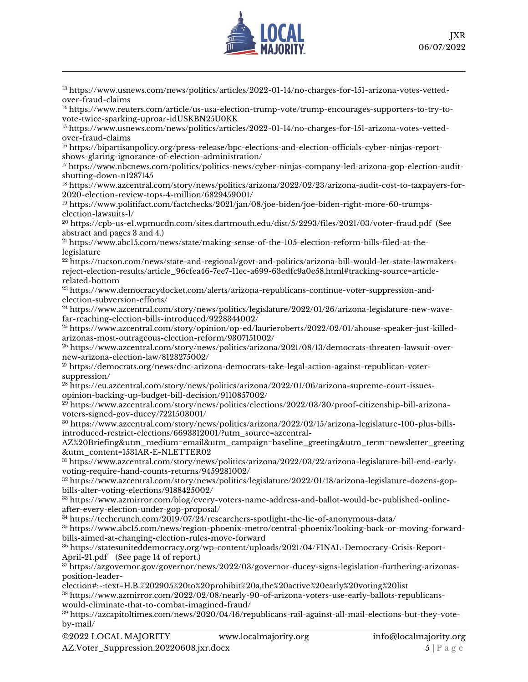

<sup>13</sup> [https://www.usnews.com/news/politics/articles/2022-01-14/no-charges-for-151-arizona-votes-vetted](https://www.usnews.com/news/politics/articles/2022-01-14/no-charges-for-151-arizona-votes-vetted-over-fraud-claims)[over-fraud-claims](https://www.usnews.com/news/politics/articles/2022-01-14/no-charges-for-151-arizona-votes-vetted-over-fraud-claims)

<sup>14</sup> [https://www.reuters.com/article/us-usa-election-trump-vote/trump-encourages-supporters-to-try-to](https://www.reuters.com/article/us-usa-election-trump-vote/trump-encourages-supporters-to-try-to-vote-twice-sparking-uproar-idUSKBN25U0KK)[vote-twice-sparking-uproar-idUSKBN25U0KK](https://www.reuters.com/article/us-usa-election-trump-vote/trump-encourages-supporters-to-try-to-vote-twice-sparking-uproar-idUSKBN25U0KK)

<sup>15</sup> [https://www.usnews.com/news/politics/articles/2022-01-14/no-charges-for-151-arizona-votes-vetted](https://www.usnews.com/news/politics/articles/2022-01-14/no-charges-for-151-arizona-votes-vetted-over-fraud-claims)[over-fraud-claims](https://www.usnews.com/news/politics/articles/2022-01-14/no-charges-for-151-arizona-votes-vetted-over-fraud-claims)

<sup>16</sup> [https://bipartisanpolicy.org/press-release/bpc-elections-and-election-officials-cyber-ninjas-report](https://bipartisanpolicy.org/press-release/bpc-elections-and-election-officials-cyber-ninjas-report-shows-glaring-ignorance-of-election-administration/)[shows-glaring-ignorance-of-election-administration/](https://bipartisanpolicy.org/press-release/bpc-elections-and-election-officials-cyber-ninjas-report-shows-glaring-ignorance-of-election-administration/)

<sup>17</sup> [https://www.nbcnews.com/politics/politics-news/cyber-ninjas-company-led-arizona-gop-election-audit](https://www.nbcnews.com/politics/politics-news/cyber-ninjas-company-led-arizona-gop-election-audit-shutting-down-n1287145)[shutting-down-n1287145](https://www.nbcnews.com/politics/politics-news/cyber-ninjas-company-led-arizona-gop-election-audit-shutting-down-n1287145)

<sup>18</sup> [https://www.azcentral.com/story/news/politics/arizona/2022/02/23/arizona-audit-cost-to-taxpayers-for-](https://www.azcentral.com/story/news/politics/arizona/2022/02/23/arizona-audit-cost-to-taxpayers-for-2020-election-review-tops-4-million/6829459001/)[2020-election-review-tops-4-million/6829459001/](https://www.azcentral.com/story/news/politics/arizona/2022/02/23/arizona-audit-cost-to-taxpayers-for-2020-election-review-tops-4-million/6829459001/)

<sup>19</sup> [https://www.politifact.com/factchecks/2021/jan/08/joe-biden/joe-biden-right-more-60-trumps](https://www.politifact.com/factchecks/2021/jan/08/joe-biden/joe-biden-right-more-60-trumps-election-lawsuits-l/)[election-lawsuits-l/](https://www.politifact.com/factchecks/2021/jan/08/joe-biden/joe-biden-right-more-60-trumps-election-lawsuits-l/)

<sup>20</sup> <https://cpb-us-e1.wpmucdn.com/sites.dartmouth.edu/dist/5/2293/files/2021/03/voter-fraud.pdf> (See abstract and pages 3 and 4.)

<sup>21</sup> [https://www.abc15.com/news/state/making-sense-of-the-105-election-reform-bills-filed-at-the](https://www.abc15.com/news/state/making-sense-of-the-105-election-reform-bills-filed-at-the-legislature)[legislature](https://www.abc15.com/news/state/making-sense-of-the-105-election-reform-bills-filed-at-the-legislature)

<sup>22</sup> [https://tucson.com/news/state-and-regional/govt-and-politics/arizona-bill-would-let-state-lawmakers](https://tucson.com/news/state-and-regional/govt-and-politics/arizona-bill-would-let-state-lawmakers-reject-election-results/article_96cfea46-7ee7-11ec-a699-63edfc9a0e58.html#tracking-source=article-related-bottom)[reject-election-results/article\\_96cfea46-7ee7-11ec-a699-63edfc9a0e58.html#tracking-source=article](https://tucson.com/news/state-and-regional/govt-and-politics/arizona-bill-would-let-state-lawmakers-reject-election-results/article_96cfea46-7ee7-11ec-a699-63edfc9a0e58.html#tracking-source=article-related-bottom)[related-bottom](https://tucson.com/news/state-and-regional/govt-and-politics/arizona-bill-would-let-state-lawmakers-reject-election-results/article_96cfea46-7ee7-11ec-a699-63edfc9a0e58.html#tracking-source=article-related-bottom)

<sup>23</sup> [https://www.democracydocket.com/alerts/arizona-republicans-continue-voter-suppression-and](https://www.democracydocket.com/alerts/arizona-republicans-continue-voter-suppression-and-election-subversion-efforts/)[election-subversion-efforts/](https://www.democracydocket.com/alerts/arizona-republicans-continue-voter-suppression-and-election-subversion-efforts/)

<sup>24</sup> [https://www.azcentral.com/story/news/politics/legislature/2022/01/26/arizona-legislature-new-wave](https://www.azcentral.com/story/news/politics/legislature/2022/01/26/arizona-legislature-new-wave-far-reaching-election-bills-introduced/9228344002/)[far-reaching-election-bills-introduced/9228344002/](https://www.azcentral.com/story/news/politics/legislature/2022/01/26/arizona-legislature-new-wave-far-reaching-election-bills-introduced/9228344002/)

<sup>25</sup> [https://www.azcentral.com/story/opinion/op-ed/laurieroberts/2022/02/01/ahouse-speaker-just-killed](https://www.azcentral.com/story/opinion/op-ed/laurieroberts/2022/02/01/ahouse-speaker-just-killed-arizonas-most-outrageous-election-reform/9307151002/)[arizonas-most-outrageous-election-reform/9307151002/](https://www.azcentral.com/story/opinion/op-ed/laurieroberts/2022/02/01/ahouse-speaker-just-killed-arizonas-most-outrageous-election-reform/9307151002/)

<sup>26</sup> [https://www.azcentral.com/story/news/politics/arizona/2021/08/13/democrats-threaten-lawsuit-over](https://www.azcentral.com/story/news/politics/arizona/2021/08/13/democrats-threaten-lawsuit-over-new-arizona-election-law/8128275002/)[new-arizona-election-law/8128275002/](https://www.azcentral.com/story/news/politics/arizona/2021/08/13/democrats-threaten-lawsuit-over-new-arizona-election-law/8128275002/)

<sup>27</sup> [https://democrats.org/news/dnc-arizona-democrats-take-legal-action-against-republican-voter](https://democrats.org/news/dnc-arizona-democrats-take-legal-action-against-republican-voter-suppression/)[suppression/](https://democrats.org/news/dnc-arizona-democrats-take-legal-action-against-republican-voter-suppression/)

<sup>28</sup> [https://eu.azcentral.com/story/news/politics/arizona/2022/01/06/arizona-supreme-court-issues](https://eu.azcentral.com/story/news/politics/arizona/2022/01/06/arizona-supreme-court-issues-opinion-backing-up-budget-bill-decision/9110857002/)[opinion-backing-up-budget-bill-decision/9110857002/](https://eu.azcentral.com/story/news/politics/arizona/2022/01/06/arizona-supreme-court-issues-opinion-backing-up-budget-bill-decision/9110857002/)

<sup>29</sup> [https://www.azcentral.com/story/news/politics/elections/2022/03/30/proof-citizenship-bill-arizona](https://www.azcentral.com/story/news/politics/elections/2022/03/30/proof-citizenship-bill-arizona-voters-signed-gov-ducey/7221503001/)[voters-signed-gov-ducey/7221503001/](https://www.azcentral.com/story/news/politics/elections/2022/03/30/proof-citizenship-bill-arizona-voters-signed-gov-ducey/7221503001/)

<sup>30</sup> [https://www.azcentral.com/story/news/politics/arizona/2022/02/15/arizona-legislature-100-plus-bills](https://www.azcentral.com/story/news/politics/arizona/2022/02/15/arizona-legislature-100-plus-bills-introduced-restrict-elections/6693312001/?utm_source=azcentral-AZ%20Briefing&utm_medium=email&utm_campaign=baseline_greeting&utm_term=newsletter_greeting&utm_content=1531AR-E-NLETTER02)[introduced-restrict-elections/6693312001/?utm\\_source=azcentral-](https://www.azcentral.com/story/news/politics/arizona/2022/02/15/arizona-legislature-100-plus-bills-introduced-restrict-elections/6693312001/?utm_source=azcentral-AZ%20Briefing&utm_medium=email&utm_campaign=baseline_greeting&utm_term=newsletter_greeting&utm_content=1531AR-E-NLETTER02)

[AZ%20Briefing&utm\\_medium=email&utm\\_campaign=baseline\\_greeting&utm\\_term=newsletter\\_greeting](https://www.azcentral.com/story/news/politics/arizona/2022/02/15/arizona-legislature-100-plus-bills-introduced-restrict-elections/6693312001/?utm_source=azcentral-AZ%20Briefing&utm_medium=email&utm_campaign=baseline_greeting&utm_term=newsletter_greeting&utm_content=1531AR-E-NLETTER02) [&utm\\_content=1531AR-E-NLETTER02](https://www.azcentral.com/story/news/politics/arizona/2022/02/15/arizona-legislature-100-plus-bills-introduced-restrict-elections/6693312001/?utm_source=azcentral-AZ%20Briefing&utm_medium=email&utm_campaign=baseline_greeting&utm_term=newsletter_greeting&utm_content=1531AR-E-NLETTER02)

<sup>31</sup> [https://www.azcentral.com/story/news/politics/arizona/2022/03/22/arizona-legislature-bill-end-early](https://www.azcentral.com/story/news/politics/arizona/2022/03/22/arizona-legislature-bill-end-early-voting-require-hand-counts-returns/9459281002/)[voting-require-hand-counts-returns/9459281002/](https://www.azcentral.com/story/news/politics/arizona/2022/03/22/arizona-legislature-bill-end-early-voting-require-hand-counts-returns/9459281002/)

<sup>32</sup> [https://www.azcentral.com/story/news/politics/legislature/2022/01/18/arizona-legislature-dozens-gop](https://www.azcentral.com/story/news/politics/legislature/2022/01/18/arizona-legislature-dozens-gop-bills-alter-voting-elections/9188425002/)[bills-alter-voting-elections/9188425002/](https://www.azcentral.com/story/news/politics/legislature/2022/01/18/arizona-legislature-dozens-gop-bills-alter-voting-elections/9188425002/)

<sup>33</sup> [https://www.azmirror.com/blog/every-voters-name-address-and-ballot-would-be-published-online](https://www.azmirror.com/blog/every-voters-name-address-and-ballot-would-be-published-online-after-every-election-under-gop-proposal/)[after-every-election-under-gop-proposal/](https://www.azmirror.com/blog/every-voters-name-address-and-ballot-would-be-published-online-after-every-election-under-gop-proposal/)

<sup>34</sup> <https://techcrunch.com/2019/07/24/researchers-spotlight-the-lie-of-anonymous-data/>

<sup>35</sup> [https://www.abc15.com/news/region-phoenix-metro/central-phoenix/looking-back-or-moving-forward](https://www.abc15.com/news/region-phoenix-metro/central-phoenix/looking-back-or-moving-forward-bills-aimed-at-changing-election-rules-move-forward)[bills-aimed-at-changing-election-rules-move-forward](https://www.abc15.com/news/region-phoenix-metro/central-phoenix/looking-back-or-moving-forward-bills-aimed-at-changing-election-rules-move-forward)

<sup>36</sup> [https://statesuniteddemocracy.org/wp-content/uploads/2021/04/FINAL-Democracy-Crisis-Report-](https://statesuniteddemocracy.org/wp-content/uploads/2021/04/FINAL-Democracy-Crisis-Report-April-21.pdf)[April-21.pdf](https://statesuniteddemocracy.org/wp-content/uploads/2021/04/FINAL-Democracy-Crisis-Report-April-21.pdf) (See page 14 of report.)

<sup>37</sup> [https://azgovernor.gov/governor/news/2022/03/governor-ducey-signs-legislation-furthering-arizonas](https://azgovernor.gov/governor/news/2022/03/governor-ducey-signs-legislation-furthering-arizonas-position-leader-election#:~:text=H.B.%202905%20to%20prohibit%20a,the%20active%20early%20voting%20list)[position-leader-](https://azgovernor.gov/governor/news/2022/03/governor-ducey-signs-legislation-furthering-arizonas-position-leader-election#:~:text=H.B.%202905%20to%20prohibit%20a,the%20active%20early%20voting%20list)

[election#:~:text=H.B.%202905%20to%20prohibit%20a,the%20active%20early%20voting%20list](https://azgovernor.gov/governor/news/2022/03/governor-ducey-signs-legislation-furthering-arizonas-position-leader-election#:~:text=H.B.%202905%20to%20prohibit%20a,the%20active%20early%20voting%20list)

<sup>38</sup> [https://www.azmirror.com/2022/02/08/nearly-90-of-arizona-voters-use-early-ballots-republicans](https://www.azmirror.com/2022/02/08/nearly-90-of-arizona-voters-use-early-ballots-republicans-would-eliminate-that-to-combat-imagined-fraud/)[would-eliminate-that-to-combat-imagined-fraud/](https://www.azmirror.com/2022/02/08/nearly-90-of-arizona-voters-use-early-ballots-republicans-would-eliminate-that-to-combat-imagined-fraud/)

<sup>39</sup> [https://azcapitoltimes.com/news/2020/04/16/republicans-rail-against-all-mail-elections-but-they-vote](https://azcapitoltimes.com/news/2020/04/16/republicans-rail-against-all-mail-elections-but-they-vote-by-mail/)[by-mail/](https://azcapitoltimes.com/news/2020/04/16/republicans-rail-against-all-mail-elections-but-they-vote-by-mail/)